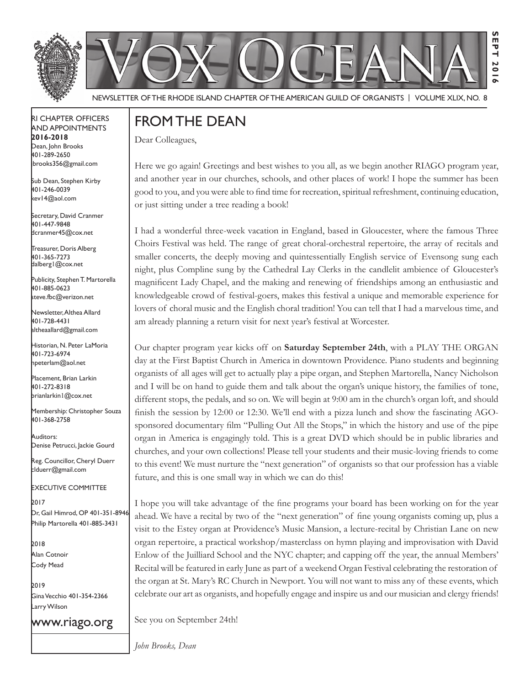



Newsletter of the rhode IslaNd Chapter of the amerICaN GuIld of orGaNIsts | Volume XlIX, No. 8

#### rI Chapter offICers aNd appoINtmeNts **2016-2018** Dean, John Brooks 401-289-2650

Sub Dean, Stephen Kirby 401-246-0039 kev14@aol.com

jbrooks356@gmail.com

Secretary, David Cranmer 401-447-9848 dcranmer45@cox.net

Treasurer, Doris Alberg 401-365-7273 dalberg1@cox.net I

Publicity, Stephen T. Martorella 401-885-0623 steve.fbc@verizon.net

Newsletter, Althea Allard 401-728-4431 altheaallard@gmail.com

historian, N. peter lamoria 401-723-6974 npeterlam@aol.net

placement, Brian larkin 401-272-8318 brianlarkin1@cox.net

Membership: Christopher Souza 401-368-2758

auditors: Denise Petrucci, Jackie Gourd

Reg. Councillor, Cheryl Duerr clduerr@gmail.com

eXeCutIVe CommIttee

2017 Dr, Gail Himrod, OP 401-351-8946 Philip Martorella 401-885-3431

2018 alan Cotnoir Cody mead

2019 Gina Vecchio 401-354-2366 Larry Wilson

www.riago.org

### from the deaN

Dear Colleagues,

Here we go again! Greetings and best wishes to you all, as we begin another RIAGO program year, and another year in our churches, schools, and other places of work! I hope the summer has been good to you, and you were able to fnd time for recreation, spiritual refreshment, continuing education, or just sitting under a tree reading a book!

**Sept 2016**

**201**  $\sim$ 

EPT

I had a wonderful three-week vacation in England, based in Gloucester, where the famous Three Choirs Festival was held. The range of great choral-orchestral repertoire, the array of recitals and smaller concerts, the deeply moving and quintessentially English service of Evensong sung each night, plus Compline sung by the Cathedral Lay Clerks in the candlelit ambience of Gloucester's magnifcent Lady Chapel, and the making and renewing of friendships among an enthusiastic and knowledgeable crowd of festival-goers, makes this festival a unique and memorable experience for lovers of choral music and the English choral tradition! You can tell that I had a marvelous time, and am already planning a return visit for next year's festival at Worcester.

Our chapter program year kicks off on **Saturday September 24th**, with a PLAY THE ORGAN day at the First Baptist Church in America in downtown Providence. Piano students and beginning organists of all ages will get to actually play a pipe organ, and Stephen Martorella, Nancy Nicholson and I will be on hand to guide them and talk about the organ's unique history, the families of tone, different stops, the pedals, and so on. We will begin at 9:00 am in the church's organ loft, and should fnish the session by 12:00 or 12:30. We'll end with a pizza lunch and show the fascinating AGOsponsored documentary flm "Pulling Out All the Stops," in which the history and use of the pipe organ in America is engagingly told. This is a great DVD which should be in public libraries and churches, and your own collections! Please tell your students and their music-loving friends to come to this event! We must nurture the "next generation" of organists so that our profession has a viable future, and this is one small way in which we can do this!

I hope you will take advantage of the fne programs your board has been working on for the year ahead. We have a recital by two of the "next generation" of fne young organists coming up, plus a visit to the Estey organ at Providence's Music Mansion, a lecture-recital by Christian Lane on new organ repertoire, a practical workshop/masterclass on hymn playing and improvisation with David Enlow of the Juilliard School and the NYC chapter; and capping off the year, the annual Members' Recital will be featured in early June as part of a weekend Organ Festival celebrating the restoration of the organ at St. Mary's RC Church in Newport. You will not want to miss any of these events, which celebrate our art as organists, and hopefully engage and inspire us and our musician and clergy friends!

See you on September 24th!

*John Brooks, Dean*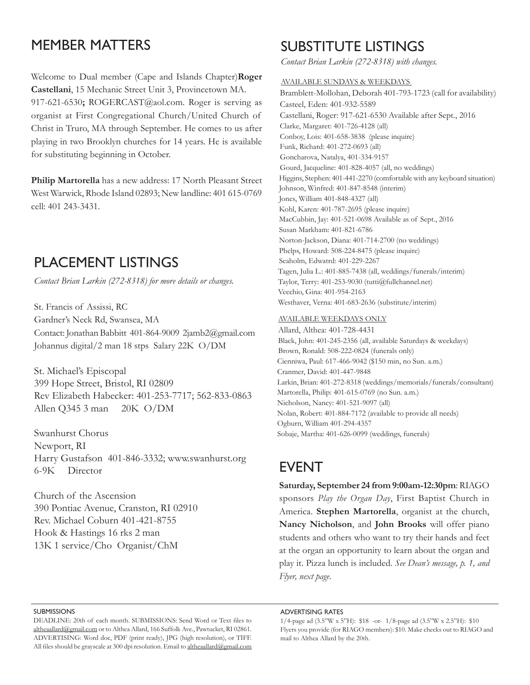### memBer matters

Welcome to Dual member (Cape and Islands Chapter)**Roger Castellani**, 15 Mechanic Street Unit 3, Provincetown MA. 917-621-6530**;** ROGERCAST@aol.com. Roger is serving as organist at First Congregational Church/United Church of Christ in Truro, MA through September. He comes to us after playing in two Brooklyn churches for 14 years. He is available for substituting beginning in October.

**Philip Martorella** has a new address: 17 North Pleasant Street West Warwick, Rhode Island 02893; New landline: 401 615-0769 cell: 401 243-3431.

### plaCemeNt lIstINGs

*Contact Brian Larkin (272-8318) for more details or changes.*

St. Francis of Assissi, RC Gardner's Neck Rd, Swansea, MA Contact: Jonathan Babbitt 401-864-9009 2jamb2@gmail.com Johannus digital/2 man 18 stps Salary 22K O/DM

St. Michael's Episcopal 399 Hope Street, Bristol, RI 02809 Rev Elizabeth Habecker: 401-253-7717; 562-833-0863 Allen Q345 3 man 20K O/DM

Swanhurst Chorus Newport, RI Harry Gustafson 401-846-3332; www.swanhurst.org 6-9K Director

Church of the Ascension 390 Pontiac Avenue, Cranston, RI 02910 Rev. Michael Coburn 401-421-8755 Hook & Hastings 16 rks 2 man 13K 1 service/Cho Organist/ChM

## suBstItute lIstINGs

*Contact Brian Larkin (272-8318) with changes.*

AVAILABLE SuNDAYS & WEEkDAYS Bramblett-Mollohan, Deborah 401-793-1723 (call for availability) Casteel, Eden: 401-932-5589 Castellani, Roger: 917-621-6530 Available after Sept., 2016 Clarke, Margaret: 401-726-4128 (all) Conboy, Lois: 401-658-3838 (please inquire) Funk, Richard: 401-272-0693 (all) Goncharova, Natalya, 401-334-9157 Gourd, Jacqueline: 401-828-4057 (all, no weddings) Higgins, Stephen: 401-441-2270 (comfortable with any keyboard situation) Johnson, Winfred: 401-847-8548 (interim) Jones, William 401-848-4327 (all) Kohl, Karen: 401-787-2695 (please inquire) MacCubbin, Jay: 401-521-0698 Available as of Sept., 2016 Susan Markham: 401-821-6786 Norton-Jackson, Diana: 401-714-2700 (no weddings) Phelps, Howard: 508-224-8475 (please inquire) Seaholm, Edwatrd: 401-229-2267 Tagen, Julia L.: 401-885-7438 (all, weddings/funerals/interim) Taylor, Terry: 401-253-9030 (tutti@fullchannel.net) Vecchio, Gina: 401-954-2163 Westhaver, Verna: 401-683-2636 (substitute/interim)

### AVAILABLE WEEkDAYS ONLY

Allard, Althea: 401-728-4431 Black, John: 401-245-2356 (all, available Saturdays & weekdays) Brown, Ronald: 508-222-0824 (funerals only) Cienniwa, Paul: 617-466-9042 (\$150 min, no Sun. a.m.) Cranmer, David: 401-447-9848 Larkin, Brian: 401-272-8318 (weddings/memorials/funerals/consultant) Martorella, Philip: 401-615-0769 (no Sun. a.m.) Nicholson, Nancy: 401-521-9097 (all) Nolan, Robert: 401-884-7172 (available to provide all needs) Ogburn, William 401-294-4357 Sobaje, Martha: 401-626-0099 (weddings, funerals)

### **EVENT**

**Saturday, September 24 from 9:00am-12:30pm**: RIAGO sponsors *Play the Organ Day*, First Baptist Church in America. **Stephen Martorella**, organist at the church, **Nancy Nicholson**, and **John Brooks** will offer piano students and others who want to try their hands and feet at the organ an opportunity to learn about the organ and play it. Pizza lunch is included. *See Dean's message, p. 1, and Flyer, next page*.

#### **SUBMISSIONS**

DEADLINE: 20th of each month. SuBMISSIONS: Send Word or Text fles to altheaallard@gmail.com or to Althea Allard, 166 Suffolk Ave., Pawtucket, RI 02861. ADVERTISING: Word doc, PDF (print ready), JPG (high resolution), or TIFF. All files should be grayscale at 300 dpi resolution. Email to altheaallard@gmail.com

#### adVertIsING rates

<sup>1/4-</sup>page ad (3.5"W x 5"H): \$18 -or- 1/8-page ad (3.5"W x 2.5"H): \$10 Flyers you provide (for RIAGO members): \$10. Make checks out to RIAGO and mail to Althea Allard by the 20th.